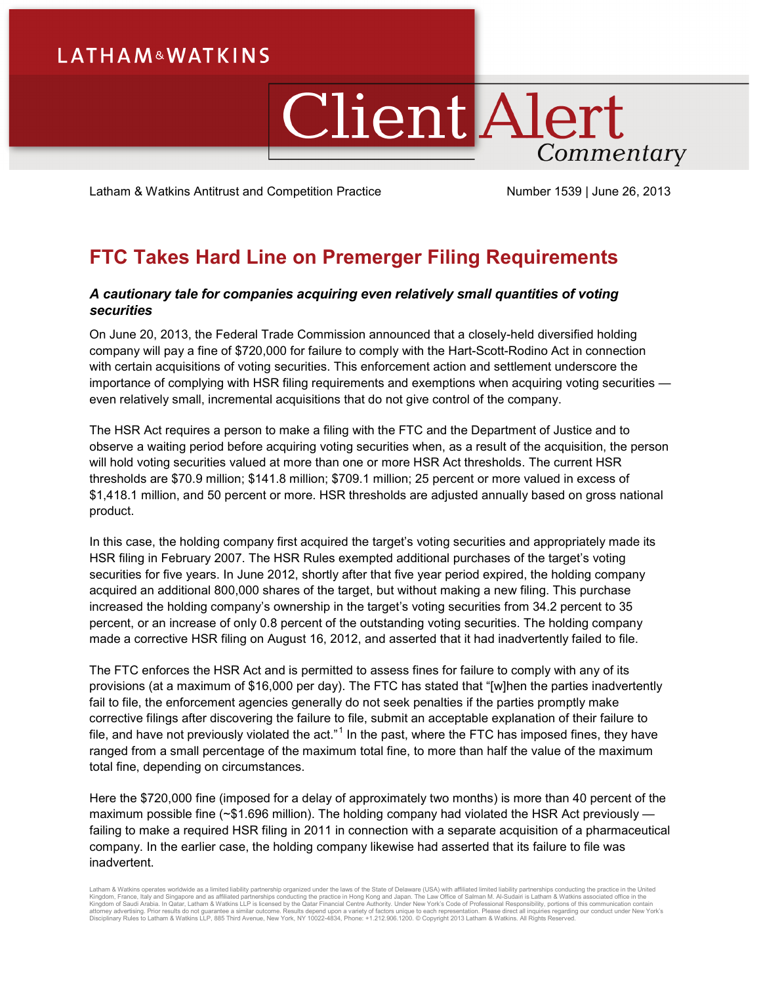## **LATHAM&WATKINS**

# **Client Alert** Commentary

Latham & Watkins Antitrust and Competition Practice Number 1539 | June 26, 2013

## **FTC Takes Hard Line on Premerger Filing Requirements**

### *A cautionary tale for companies acquiring even relatively small quantities of voting securities*

On June 20, 2013, the Federal Trade Commission announced that a closely-held diversified holding company will pay a fine of \$720,000 for failure to comply with the Hart-Scott-Rodino Act in connection with certain acquisitions of voting securities. This enforcement action and settlement underscore the importance of complying with HSR filing requirements and exemptions when acquiring voting securities even relatively small, incremental acquisitions that do not give control of the company.

The HSR Act requires a person to make a filing with the FTC and the Department of Justice and to observe a waiting period before acquiring voting securities when, as a result of the acquisition, the person will hold voting securities valued at more than one or more HSR Act thresholds. The current HSR thresholds are \$70.9 million; \$141.8 million; \$709.1 million; 25 percent or more valued in excess of \$1,418.1 million, and 50 percent or more. HSR thresholds are adjusted annually based on gross national product.

In this case, the holding company first acquired the target's voting securities and appropriately made its HSR filing in February 2007. The HSR Rules exempted additional purchases of the target's voting securities for five years. In June 2012, shortly after that five year period expired, the holding company acquired an additional 800,000 shares of the target, but without making a new filing. This purchase increased the holding company's ownership in the target's voting securities from 34.2 percent to 35 percent, or an increase of only 0.8 percent of the outstanding voting securities. The holding company made a corrective HSR filing on August 16, 2012, and asserted that it had inadvertently failed to file.

The FTC enforces the HSR Act and is permitted to assess fines for failure to comply with any of its provisions (at a maximum of \$16,000 per day). The FTC has stated that "[w]hen the parties inadvertently fail to file, the enforcement agencies generally do not seek penalties if the parties promptly make corrective filings after discovering the failure to file, submit an acceptable explanation of their failure to file, and have not previously violated the act."<sup>[1](#page-1-0)</sup> In the past, where the FTC has imposed fines, they have ranged from a small percentage of the maximum total fine, to more than half the value of the maximum total fine, depending on circumstances.

Here the \$720,000 fine (imposed for a delay of approximately two months) is more than 40 percent of the maximum possible fine (~\$1.696 million). The holding company had violated the HSR Act previously failing to make a required HSR filing in 2011 in connection with a separate acquisition of a pharmaceutical company. In the earlier case, the holding company likewise had asserted that its failure to file was inadvertent.

Latham & Watkins operates worldwide as a limited liability partnership organized under the laws of the State of Delaware (USA) with affiliated limited liability partnerships conducting the practice in the United Kingdom, France, Italy and Singapore and as affiliated partnerships conducting the practice in Hong Kong and Japan. The Law Office of Salman M. Al-Sudairi is Latham & Watkins associated office in the<br>Kingdom of Saudi Arabi